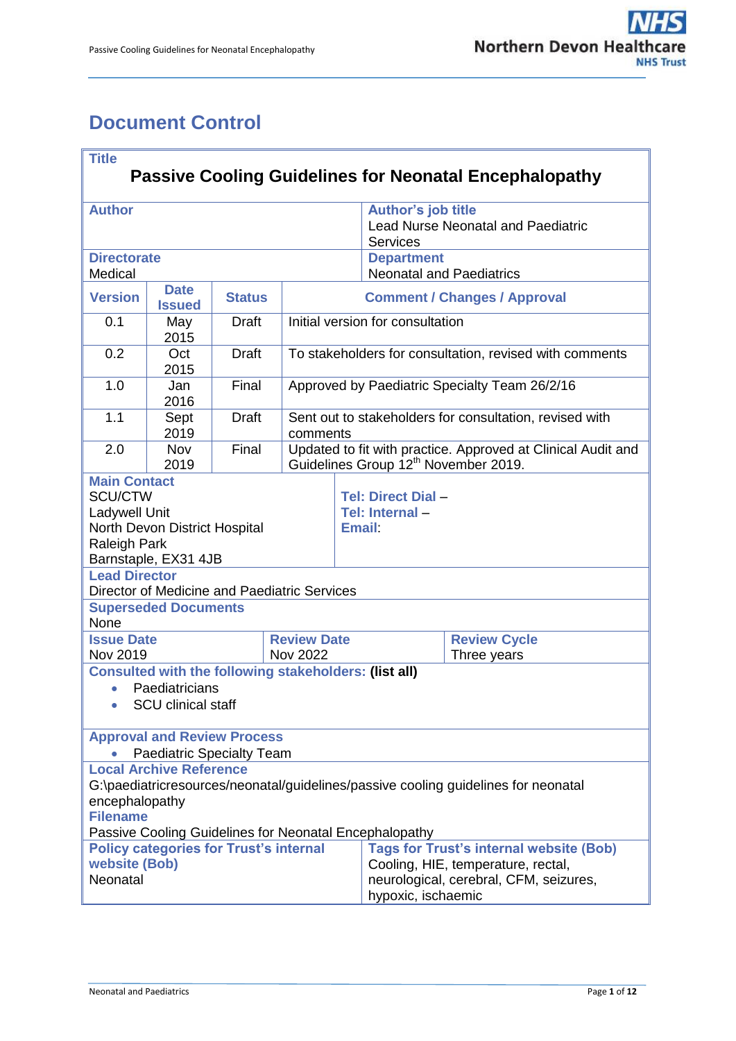# <span id="page-0-0"></span>**Document Control**

| <b>Title</b>                                                                                            |                                                       |               |                           |                                                                                                                              |                                      |                     |  |
|---------------------------------------------------------------------------------------------------------|-------------------------------------------------------|---------------|---------------------------|------------------------------------------------------------------------------------------------------------------------------|--------------------------------------|---------------------|--|
| <b>Passive Cooling Guidelines for Neonatal Encephalopathy</b>                                           |                                                       |               |                           |                                                                                                                              |                                      |                     |  |
| <b>Author</b>                                                                                           |                                                       |               | <b>Author's job title</b> |                                                                                                                              |                                      |                     |  |
|                                                                                                         |                                                       |               |                           | <b>Lead Nurse Neonatal and Paediatric</b>                                                                                    |                                      |                     |  |
| <b>Directorate</b>                                                                                      |                                                       |               |                           |                                                                                                                              | <b>Services</b><br><b>Department</b> |                     |  |
| Medical                                                                                                 |                                                       |               |                           |                                                                                                                              | <b>Neonatal and Paediatrics</b>      |                     |  |
| <b>Version</b>                                                                                          | <b>Date</b><br><b>Issued</b>                          | <b>Status</b> |                           | <b>Comment / Changes / Approval</b>                                                                                          |                                      |                     |  |
| 0.1                                                                                                     | May<br>2015                                           | <b>Draft</b>  |                           | Initial version for consultation                                                                                             |                                      |                     |  |
| 0.2                                                                                                     | Oct<br>2015                                           | <b>Draft</b>  |                           | To stakeholders for consultation, revised with comments                                                                      |                                      |                     |  |
| 1.0                                                                                                     | Jan<br>2016                                           | Final         |                           | Approved by Paediatric Specialty Team 26/2/16                                                                                |                                      |                     |  |
| 1.1                                                                                                     | Sept<br>2019                                          | <b>Draft</b>  |                           | Sent out to stakeholders for consultation, revised with                                                                      |                                      |                     |  |
| 2.0                                                                                                     | Nov                                                   | Final         |                           | comments<br>Updated to fit with practice. Approved at Clinical Audit and<br>Guidelines Group 12 <sup>th</sup> November 2019. |                                      |                     |  |
| <b>Main Contact</b>                                                                                     | 2019                                                  |               |                           |                                                                                                                              |                                      |                     |  |
| <b>SCU/CTW</b>                                                                                          |                                                       |               |                           |                                                                                                                              | <b>Tel: Direct Dial -</b>            |                     |  |
| Ladywell Unit                                                                                           |                                                       |               |                           |                                                                                                                              | Tel: Internal-                       |                     |  |
|                                                                                                         | North Devon District Hospital                         |               |                           | <b>Email:</b>                                                                                                                |                                      |                     |  |
| <b>Raleigh Park</b>                                                                                     |                                                       |               |                           |                                                                                                                              |                                      |                     |  |
| <b>Lead Director</b>                                                                                    | Barnstaple, EX31 4JB                                  |               |                           |                                                                                                                              |                                      |                     |  |
|                                                                                                         | Director of Medicine and Paediatric Services          |               |                           |                                                                                                                              |                                      |                     |  |
|                                                                                                         | <b>Superseded Documents</b>                           |               |                           |                                                                                                                              |                                      |                     |  |
| None                                                                                                    |                                                       |               |                           |                                                                                                                              |                                      |                     |  |
| <b>Issue Date</b>                                                                                       |                                                       |               |                           | <b>Review Date</b>                                                                                                           |                                      | <b>Review Cycle</b> |  |
| Nov 2019                                                                                                | Consulted with the following stakeholders: (list all) |               | <b>Nov 2022</b>           |                                                                                                                              |                                      | Three years         |  |
| $\bullet$                                                                                               | Paediatricians                                        |               |                           |                                                                                                                              |                                      |                     |  |
|                                                                                                         | <b>SCU clinical staff</b>                             |               |                           |                                                                                                                              |                                      |                     |  |
|                                                                                                         |                                                       |               |                           |                                                                                                                              |                                      |                     |  |
|                                                                                                         | <b>Approval and Review Process</b>                    |               |                           |                                                                                                                              |                                      |                     |  |
| <b>Paediatric Specialty Team</b><br><b>Local Archive Reference</b>                                      |                                                       |               |                           |                                                                                                                              |                                      |                     |  |
| G:\paediatricresources/neonatal/guidelines/passive cooling guidelines for neonatal                      |                                                       |               |                           |                                                                                                                              |                                      |                     |  |
| encephalopathy                                                                                          |                                                       |               |                           |                                                                                                                              |                                      |                     |  |
| <b>Filename</b>                                                                                         |                                                       |               |                           |                                                                                                                              |                                      |                     |  |
| Passive Cooling Guidelines for Neonatal Encephalopathy<br><b>Policy categories for Trust's internal</b> |                                                       |               |                           |                                                                                                                              |                                      |                     |  |
| website (Bob)                                                                                           |                                                       |               |                           | <b>Tags for Trust's internal website (Bob)</b><br>Cooling, HIE, temperature, rectal,                                         |                                      |                     |  |
| Neonatal                                                                                                |                                                       |               |                           | neurological, cerebral, CFM, seizures,                                                                                       |                                      |                     |  |
|                                                                                                         |                                                       |               |                           | hypoxic, ischaemic                                                                                                           |                                      |                     |  |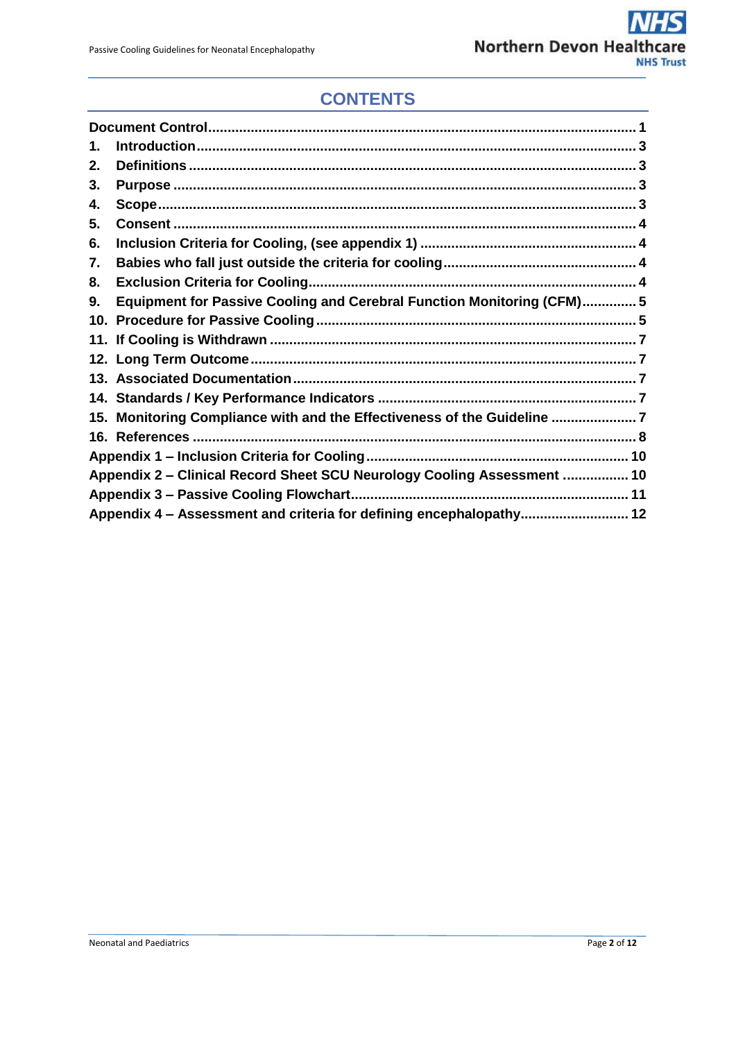## **CONTENTS**

| 1.                                                                      |                                                                         |  |  |  |  |
|-------------------------------------------------------------------------|-------------------------------------------------------------------------|--|--|--|--|
| 2.                                                                      |                                                                         |  |  |  |  |
| З.                                                                      |                                                                         |  |  |  |  |
| 4.                                                                      |                                                                         |  |  |  |  |
| 5.                                                                      |                                                                         |  |  |  |  |
| 6.                                                                      |                                                                         |  |  |  |  |
| 7.                                                                      |                                                                         |  |  |  |  |
| 8.                                                                      |                                                                         |  |  |  |  |
| 9.                                                                      | Equipment for Passive Cooling and Cerebral Function Monitoring (CFM)5   |  |  |  |  |
|                                                                         |                                                                         |  |  |  |  |
|                                                                         |                                                                         |  |  |  |  |
|                                                                         |                                                                         |  |  |  |  |
|                                                                         |                                                                         |  |  |  |  |
|                                                                         |                                                                         |  |  |  |  |
|                                                                         | 15. Monitoring Compliance with and the Effectiveness of the Guideline 7 |  |  |  |  |
|                                                                         |                                                                         |  |  |  |  |
|                                                                         |                                                                         |  |  |  |  |
| Appendix 2 - Clinical Record Sheet SCU Neurology Cooling Assessment  10 |                                                                         |  |  |  |  |
|                                                                         |                                                                         |  |  |  |  |
|                                                                         | Appendix 4 - Assessment and criteria for defining encephalopathy 12     |  |  |  |  |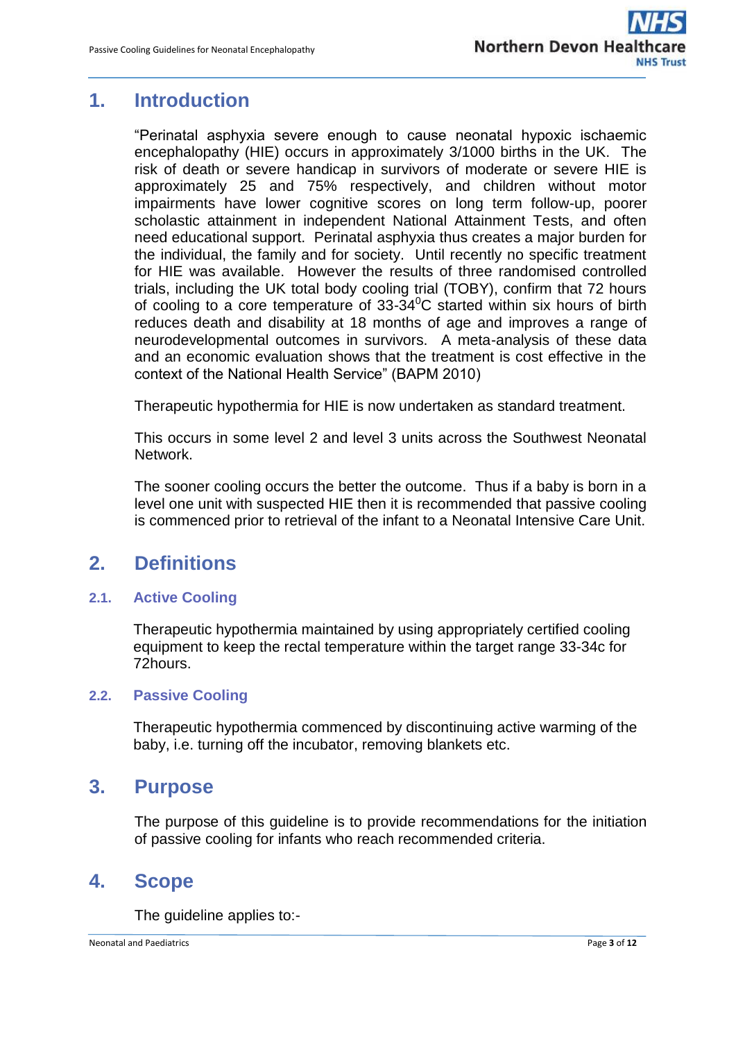#### <span id="page-2-0"></span>**1. Introduction**

"Perinatal asphyxia severe enough to cause neonatal hypoxic ischaemic encephalopathy (HIE) occurs in approximately 3/1000 births in the UK. The risk of death or severe handicap in survivors of moderate or severe HIE is approximately 25 and 75% respectively, and children without motor impairments have lower cognitive scores on long term follow-up, poorer scholastic attainment in independent National Attainment Tests, and often need educational support. Perinatal asphyxia thus creates a major burden for the individual, the family and for society. Until recently no specific treatment for HIE was available. However the results of three randomised controlled trials, including the UK total body cooling trial (TOBY), confirm that 72 hours of cooling to a core temperature of  $33-34^{\circ}$ C started within six hours of birth reduces death and disability at 18 months of age and improves a range of neurodevelopmental outcomes in survivors. A meta-analysis of these data and an economic evaluation shows that the treatment is cost effective in the context of the National Health Service" (BAPM 2010)

Therapeutic hypothermia for HIE is now undertaken as standard treatment.

This occurs in some level 2 and level 3 units across the Southwest Neonatal **Network** 

The sooner cooling occurs the better the outcome. Thus if a baby is born in a level one unit with suspected HIE then it is recommended that passive cooling is commenced prior to retrieval of the infant to a Neonatal Intensive Care Unit.

## <span id="page-2-1"></span>**2. Definitions**

#### **2.1. Active Cooling**

Therapeutic hypothermia maintained by using appropriately certified cooling equipment to keep the rectal temperature within the target range 33-34c for 72hours.

#### **2.2. Passive Cooling**

Therapeutic hypothermia commenced by discontinuing active warming of the baby, i.e. turning off the incubator, removing blankets etc.

#### <span id="page-2-2"></span>**3. Purpose**

The purpose of this guideline is to provide recommendations for the initiation of passive cooling for infants who reach recommended criteria.

#### <span id="page-2-3"></span>**4. Scope**

The quideline applies to:-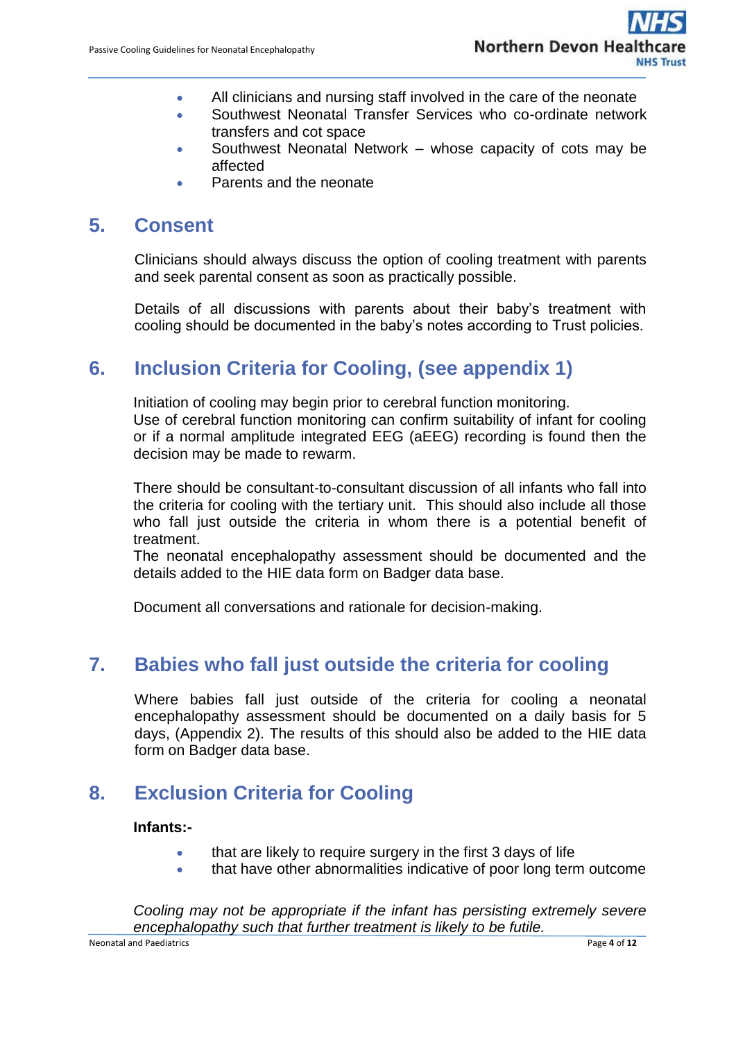- All clinicians and nursing staff involved in the care of the neonate
- Southwest Neonatal Transfer Services who co-ordinate network transfers and cot space
- Southwest Neonatal Network whose capacity of cots may be affected
- Parents and the neonate

#### <span id="page-3-0"></span>**5. Consent**

Clinicians should always discuss the option of cooling treatment with parents and seek parental consent as soon as practically possible.

Details of all discussions with parents about their baby's treatment with cooling should be documented in the baby's notes according to Trust policies.

## <span id="page-3-1"></span>**6. Inclusion Criteria for Cooling, (see appendix 1)**

Initiation of cooling may begin prior to cerebral function monitoring.

Use of cerebral function monitoring can confirm suitability of infant for cooling or if a normal amplitude integrated EEG (aEEG) recording is found then the decision may be made to rewarm.

There should be consultant-to-consultant discussion of all infants who fall into the criteria for cooling with the tertiary unit. This should also include all those who fall just outside the criteria in whom there is a potential benefit of treatment.

The neonatal encephalopathy assessment should be documented and the details added to the HIE data form on Badger data base.

Document all conversations and rationale for decision-making.

#### <span id="page-3-2"></span>**7. Babies who fall just outside the criteria for cooling**

Where babies fall just outside of the criteria for cooling a neonatal encephalopathy assessment should be documented on a daily basis for 5 days, (Appendix 2). The results of this should also be added to the HIE data form on Badger data base.

#### <span id="page-3-3"></span>**8. Exclusion Criteria for Cooling**

#### **Infants:-**

- that are likely to require surgery in the first 3 days of life
- that have other abnormalities indicative of poor long term outcome

*Cooling may not be appropriate if the infant has persisting extremely severe encephalopathy such that further treatment is likely to be futile.*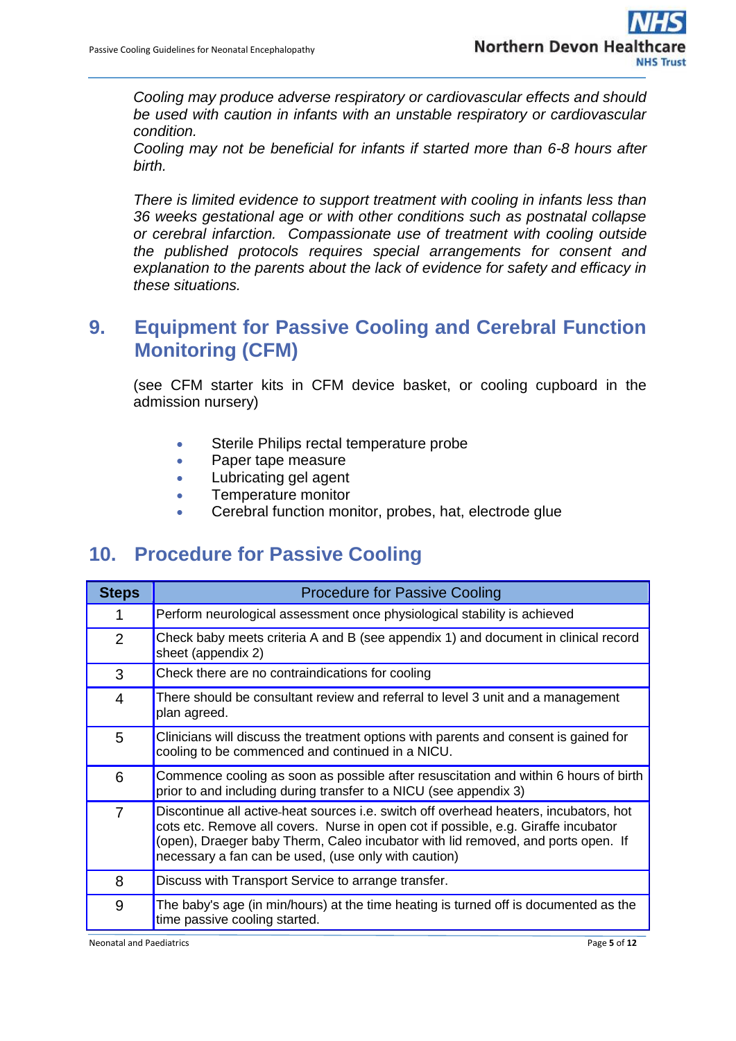*Cooling may produce adverse respiratory or cardiovascular effects and should be used with caution in infants with an unstable respiratory or cardiovascular condition.* 

*Cooling may not be beneficial for infants if started more than 6-8 hours after birth.*

*There is limited evidence to support treatment with cooling in infants less than 36 weeks gestational age or with other conditions such as postnatal collapse or cerebral infarction. Compassionate use of treatment with cooling outside the published protocols requires special arrangements for consent and explanation to the parents about the lack of evidence for safety and efficacy in these situations.* 

#### <span id="page-4-0"></span>**9. Equipment for Passive Cooling and Cerebral Function Monitoring (CFM)**

(see CFM starter kits in CFM device basket, or cooling cupboard in the admission nursery)

- **Sterile Philips rectal temperature probe**
- Paper tape measure
- Lubricating gel agent
- **•** Temperature monitor
- **•** Cerebral function monitor, probes, hat, electrode glue

#### <span id="page-4-1"></span>**10. Procedure for Passive Cooling**

| <b>Steps</b>   | <b>Procedure for Passive Cooling</b>                                                                                                                                                                                                                                                                                    |  |  |  |  |
|----------------|-------------------------------------------------------------------------------------------------------------------------------------------------------------------------------------------------------------------------------------------------------------------------------------------------------------------------|--|--|--|--|
| 1              | Perform neurological assessment once physiological stability is achieved                                                                                                                                                                                                                                                |  |  |  |  |
| $\overline{2}$ | Check baby meets criteria A and B (see appendix 1) and document in clinical record<br>sheet (appendix 2)                                                                                                                                                                                                                |  |  |  |  |
| 3              | Check there are no contraindications for cooling                                                                                                                                                                                                                                                                        |  |  |  |  |
| 4              | There should be consultant review and referral to level 3 unit and a management<br>plan agreed.                                                                                                                                                                                                                         |  |  |  |  |
| 5              | Clinicians will discuss the treatment options with parents and consent is gained for<br>cooling to be commenced and continued in a NICU.                                                                                                                                                                                |  |  |  |  |
| 6              | Commence cooling as soon as possible after resuscitation and within 6 hours of birth<br>prior to and including during transfer to a NICU (see appendix 3)                                                                                                                                                               |  |  |  |  |
| 7              | Discontinue all active-heat sources i.e. switch off overhead heaters, incubators, hot<br>cots etc. Remove all covers. Nurse in open cot if possible, e.g. Giraffe incubator<br>(open), Draeger baby Therm, Caleo incubator with lid removed, and ports open. If<br>necessary a fan can be used, (use only with caution) |  |  |  |  |
| 8              | Discuss with Transport Service to arrange transfer.                                                                                                                                                                                                                                                                     |  |  |  |  |
| 9              | The baby's age (in min/hours) at the time heating is turned off is documented as the<br>time passive cooling started.                                                                                                                                                                                                   |  |  |  |  |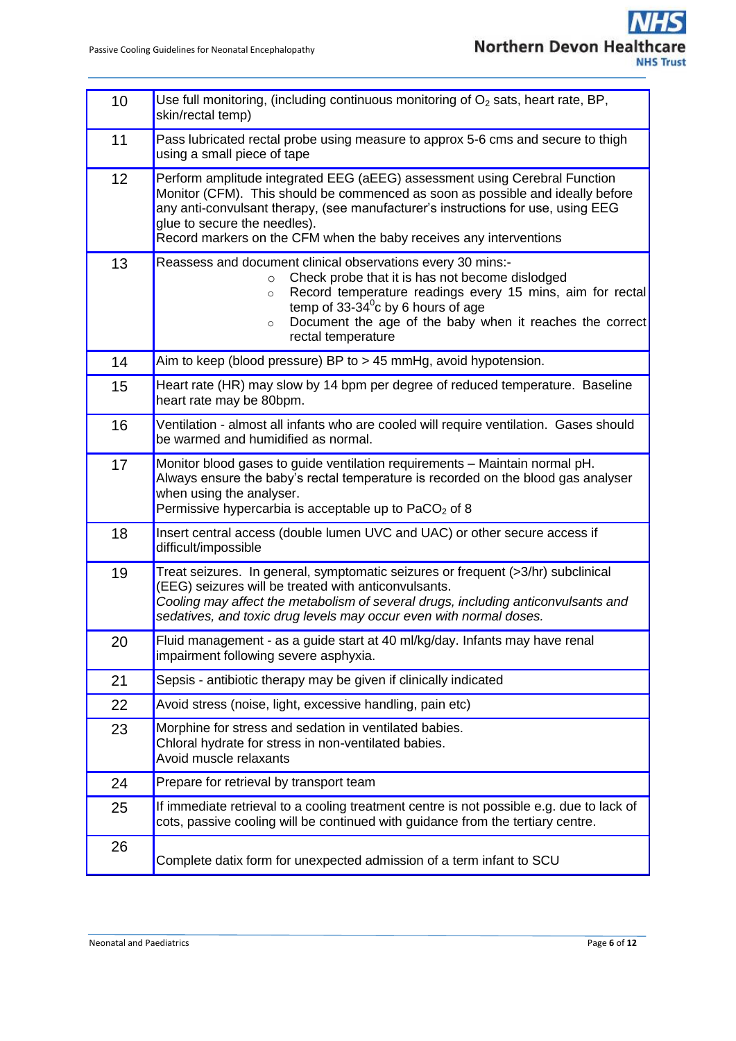| 10 | Use full monitoring, (including continuous monitoring of $O2$ sats, heart rate, BP,<br>skin/rectal temp)                                                                                                                                                                                                                                               |
|----|--------------------------------------------------------------------------------------------------------------------------------------------------------------------------------------------------------------------------------------------------------------------------------------------------------------------------------------------------------|
| 11 | Pass lubricated rectal probe using measure to approx 5-6 cms and secure to thigh<br>using a small piece of tape                                                                                                                                                                                                                                        |
| 12 | Perform amplitude integrated EEG (aEEG) assessment using Cerebral Function<br>Monitor (CFM). This should be commenced as soon as possible and ideally before<br>any anti-convulsant therapy, (see manufacturer's instructions for use, using EEG<br>glue to secure the needles).<br>Record markers on the CFM when the baby receives any interventions |
| 13 | Reassess and document clinical observations every 30 mins:-<br>Check probe that it is has not become dislodged<br>$\circ$<br>Record temperature readings every 15 mins, aim for rectal<br>$\circ$<br>temp of $33-34^{\circ}$ c by 6 hours of age<br>Document the age of the baby when it reaches the correct<br>$\circ$<br>rectal temperature          |
| 14 | Aim to keep (blood pressure) BP to > 45 mmHg, avoid hypotension.                                                                                                                                                                                                                                                                                       |
| 15 | Heart rate (HR) may slow by 14 bpm per degree of reduced temperature. Baseline<br>heart rate may be 80bpm.                                                                                                                                                                                                                                             |
| 16 | Ventilation - almost all infants who are cooled will require ventilation. Gases should<br>be warmed and humidified as normal.                                                                                                                                                                                                                          |
| 17 | Monitor blood gases to guide ventilation requirements - Maintain normal pH.<br>Always ensure the baby's rectal temperature is recorded on the blood gas analyser<br>when using the analyser.<br>Permissive hypercarbia is acceptable up to $PaCO2$ of 8                                                                                                |
| 18 | Insert central access (double lumen UVC and UAC) or other secure access if<br>difficult/impossible                                                                                                                                                                                                                                                     |
| 19 | Treat seizures. In general, symptomatic seizures or frequent (>3/hr) subclinical<br>(EEG) seizures will be treated with anticonvulsants.<br>Cooling may affect the metabolism of several drugs, including anticonvulsants and<br>sedatives, and toxic drug levels may occur even with normal doses.                                                    |
| 20 | Fluid management - as a guide start at 40 ml/kg/day. Infants may have renal<br>impairment following severe asphyxia.                                                                                                                                                                                                                                   |
| 21 | Sepsis - antibiotic therapy may be given if clinically indicated                                                                                                                                                                                                                                                                                       |
| 22 | Avoid stress (noise, light, excessive handling, pain etc)                                                                                                                                                                                                                                                                                              |
| 23 | Morphine for stress and sedation in ventilated babies.<br>Chloral hydrate for stress in non-ventilated babies.<br>Avoid muscle relaxants                                                                                                                                                                                                               |
| 24 | Prepare for retrieval by transport team                                                                                                                                                                                                                                                                                                                |
| 25 | If immediate retrieval to a cooling treatment centre is not possible e.g. due to lack of<br>cots, passive cooling will be continued with guidance from the tertiary centre.                                                                                                                                                                            |
| 26 | Complete datix form for unexpected admission of a term infant to SCU                                                                                                                                                                                                                                                                                   |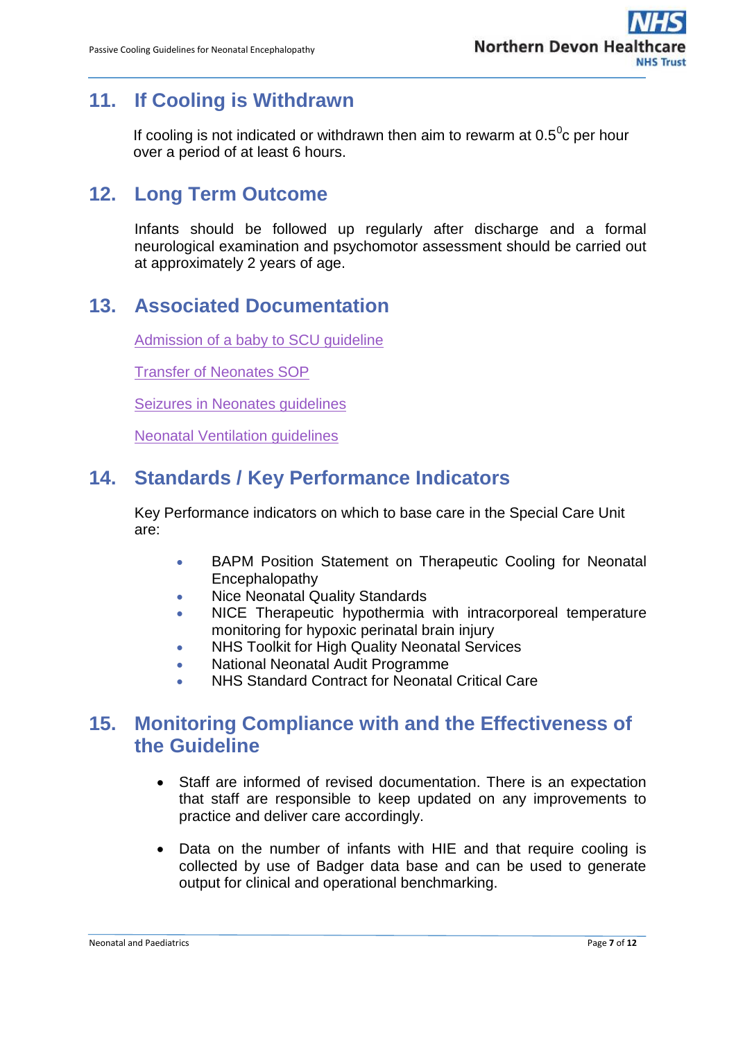## <span id="page-6-0"></span>**11. If Cooling is Withdrawn**

If cooling is not indicated or withdrawn then aim to rewarm at 0.5 $\mathrm{^0c}$  per hour over a period of at least 6 hours.

## <span id="page-6-1"></span>**12. Long Term Outcome**

Infants should be followed up regularly after discharge and a formal neurological examination and psychomotor assessment should be carried out at approximately 2 years of age.

## <span id="page-6-2"></span>**13. Associated Documentation**

[Admission of a baby to SCU guideline](http://ndht.ndevon.swest.nhs.uk/admission-of-a-baby-to-scu-guideline/)

[Transfer of Neonates SOP](https://www.northdevonhealth.nhs.uk/wp-content/uploads/2017/01/Transfer-of-Neonates-SOP-V2.1-Jan-17.pdf)

[Seizures in Neonates guidelines](https://www.northdevonhealth.nhs.uk/wp-content/uploads/2018/10/Seizures-in-Neonates-Guidelines-V-2-0-Sept-18.pdf)

[Neonatal Ventilation guidelines](http://ndht.ndevon.swest.nhs.uk/wp-content/uploads/2014/11/Ventilation-Guidelines-for-Neonates-v2.0.pdf)

## <span id="page-6-3"></span>**14. Standards / Key Performance Indicators**

Key Performance indicators on which to base care in the Special Care Unit are:

- BAPM Position Statement on Therapeutic Cooling for Neonatal Encephalopathy
- Nice Neonatal Quality Standards
- NICE Therapeutic hypothermia with intracorporeal temperature monitoring for hypoxic perinatal brain injury
- NHS Toolkit for High Quality Neonatal Services
- National Neonatal Audit Programme
- NHS Standard Contract for Neonatal Critical Care

#### <span id="page-6-4"></span>**15. Monitoring Compliance with and the Effectiveness of the Guideline**

- Staff are informed of revised documentation. There is an expectation that staff are responsible to keep updated on any improvements to practice and deliver care accordingly.
- Data on the number of infants with HIE and that require cooling is collected by use of Badger data base and can be used to generate output for clinical and operational benchmarking.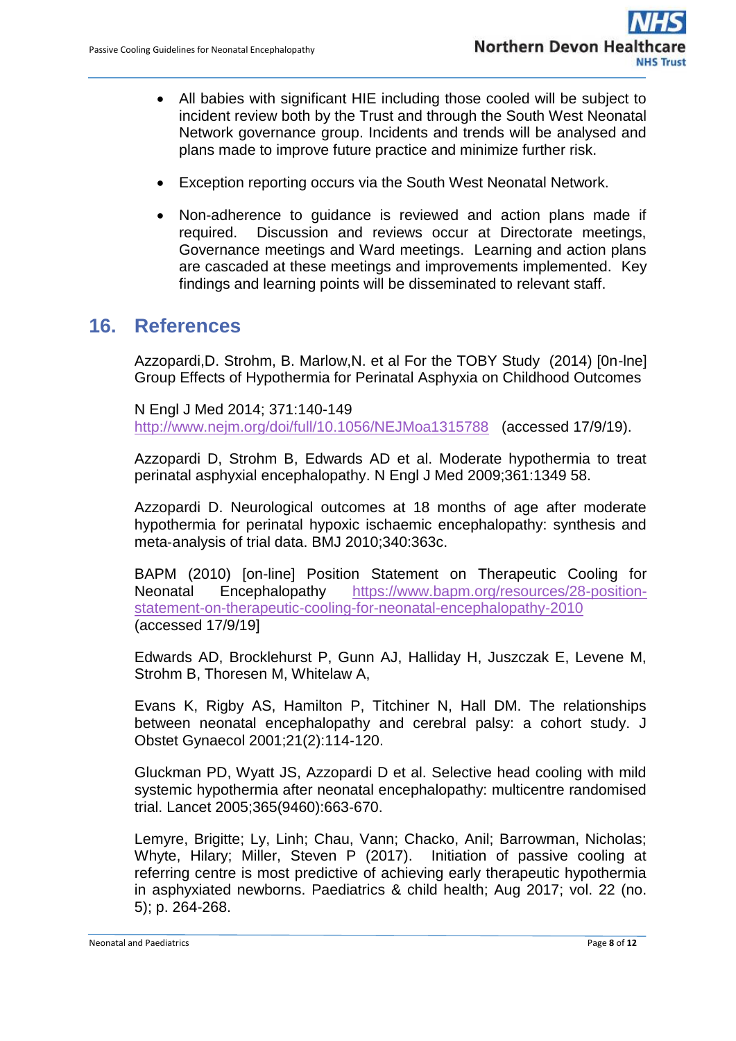- All babies with significant HIE including those cooled will be subject to incident review both by the Trust and through the South West Neonatal Network governance group. Incidents and trends will be analysed and plans made to improve future practice and minimize further risk.
- Exception reporting occurs via the South West Neonatal Network.
- Non-adherence to guidance is reviewed and action plans made if required. Discussion and reviews occur at Directorate meetings, Governance meetings and Ward meetings. Learning and action plans are cascaded at these meetings and improvements implemented. Key findings and learning points will be disseminated to relevant staff.

#### <span id="page-7-0"></span>**16. References**

Azzopardi,D. Strohm, B. Marlow,N. et al For the TOBY Study (2014) [0n-lne] Group Effects of Hypothermia for Perinatal Asphyxia on Childhood Outcomes

N Engl J Med 2014; 371:140-149 <http://www.nejm.org/doi/full/10.1056/NEJMoa1315788> (accessed 17/9/19).

Azzopardi D, Strohm B, Edwards AD et al. Moderate hypothermia to treat perinatal asphyxial encephalopathy. N Engl J Med 2009;361:1349 58.

Azzopardi D. Neurological outcomes at 18 months of age after moderate hypothermia for perinatal hypoxic ischaemic encephalopathy: synthesis and meta‐analysis of trial data. BMJ 2010;340:363c.

BAPM (2010) [on-line] Position Statement on Therapeutic Cooling for Neonatal Encephalopathy [https://www.bapm.org/resources/28-position](https://www.bapm.org/resources/28-position-statement-on-therapeutic-cooling-for-neonatal-encephalopathy-2010)[statement-on-therapeutic-cooling-for-neonatal-encephalopathy-2010](https://www.bapm.org/resources/28-position-statement-on-therapeutic-cooling-for-neonatal-encephalopathy-2010)  (accessed 17/9/19]

Edwards AD, Brocklehurst P, Gunn AJ, Halliday H, Juszczak E, Levene M, Strohm B, Thoresen M, Whitelaw A,

Evans K, Rigby AS, Hamilton P, Titchiner N, Hall DM. The relationships between neonatal encephalopathy and cerebral palsy: a cohort study. J Obstet Gynaecol 2001;21(2):114‐120.

Gluckman PD, Wyatt JS, Azzopardi D et al. Selective head cooling with mild systemic hypothermia after neonatal encephalopathy: multicentre randomised trial. Lancet 2005;365(9460):663‐670.

Lemyre, Brigitte; Ly, Linh; Chau, Vann; Chacko, Anil; Barrowman, Nicholas; Whyte, Hilary; Miller, Steven P (2017). Initiation of passive cooling at referring centre is most predictive of achieving early therapeutic hypothermia in asphyxiated newborns. Paediatrics & child health; Aug 2017; vol. 22 (no. 5); p. 264-268.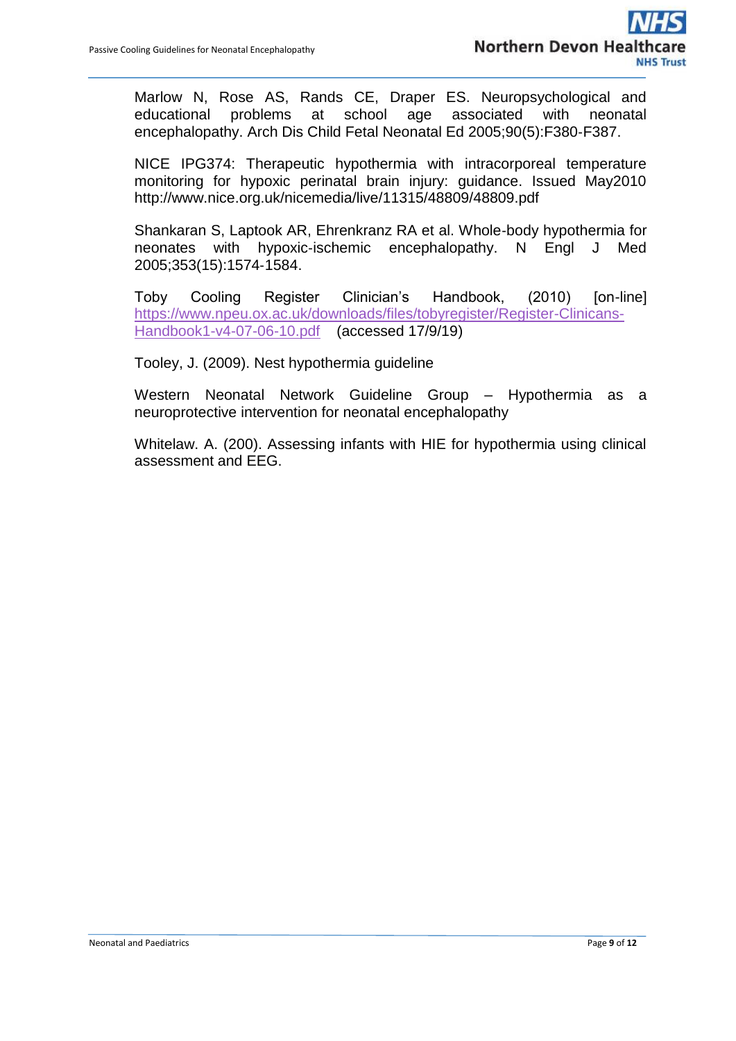Marlow N, Rose AS, Rands CE, Draper ES. Neuropsychological and educational problems at school age associated with neonatal encephalopathy. Arch Dis Child Fetal Neonatal Ed 2005;90(5):F380‐F387.

NICE IPG374: Therapeutic hypothermia with intracorporeal temperature monitoring for hypoxic perinatal brain injury: guidance. Issued May2010 http://www.nice.org.uk/nicemedia/live/11315/48809/48809.pdf

Shankaran S, Laptook AR, Ehrenkranz RA et al. Whole‐body hypothermia for neonates with hypoxic‐ischemic encephalopathy. N Engl J Med 2005;353(15):1574‐1584.

Toby Cooling Register Clinician's Handbook, (2010) [on-line] [https://www.npeu.ox.ac.uk/downloads/files/tobyregister/Register-Clinicans-](https://www.npeu.ox.ac.uk/downloads/files/tobyregister/Register-Clinicans-Handbook1-v4-07-06-10.pdf)[Handbook1-v4-07-06-10.pdf](https://www.npeu.ox.ac.uk/downloads/files/tobyregister/Register-Clinicans-Handbook1-v4-07-06-10.pdf) (accessed 17/9/19)

Tooley, J. (2009). Nest hypothermia guideline

Western Neonatal Network Guideline Group – Hypothermia as a neuroprotective intervention for neonatal encephalopathy

Whitelaw. A. (200). Assessing infants with HIE for hypothermia using clinical assessment and EEG.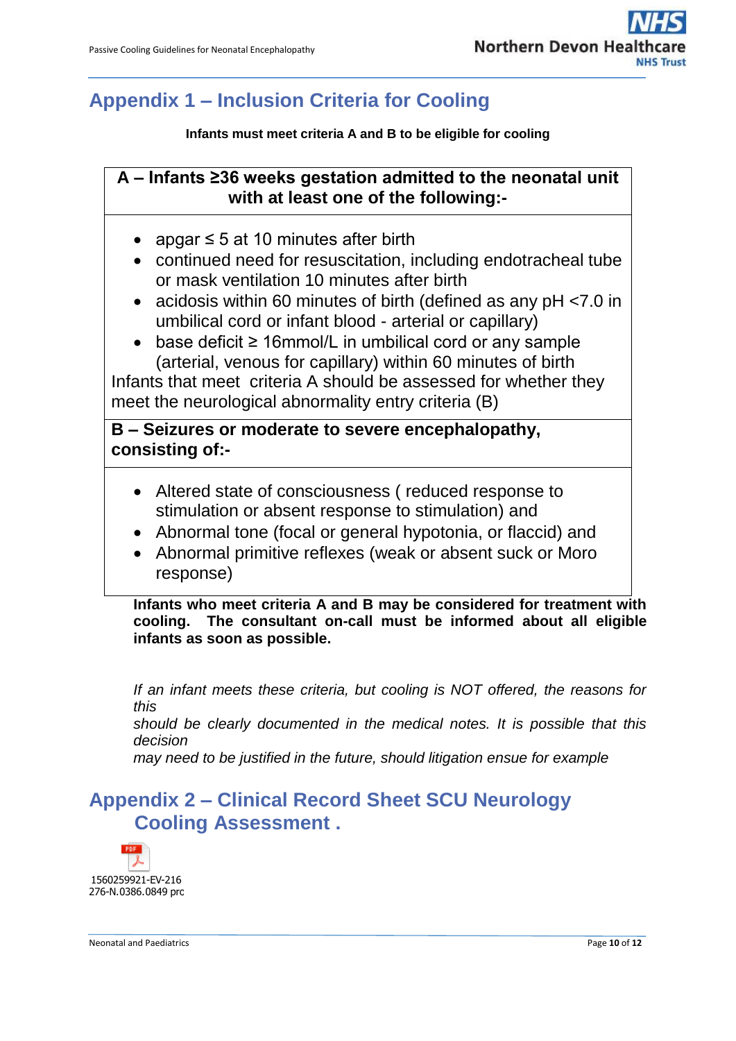## <span id="page-9-0"></span>**Appendix 1 – Inclusion Criteria for Cooling**

**Infants must meet criteria A and B to be eligible for cooling**

#### **A – Infants ≥36 weeks gestation admitted to the neonatal unit with at least one of the following:-**

- apgar  $\leq$  5 at 10 minutes after birth
- continued need for resuscitation, including endotracheal tube or mask ventilation 10 minutes after birth
- acidosis within 60 minutes of birth (defined as any pH <7.0 in umbilical cord or infant blood - arterial or capillary)
- base deficit ≥ 16mmol/L in umbilical cord or any sample (arterial, venous for capillary) within 60 minutes of birth

Infants that meet criteria A should be assessed for whether they meet the neurological abnormality entry criteria (B)

**B – Seizures or moderate to severe encephalopathy, consisting of:-**

- Altered state of consciousness ( reduced response to stimulation or absent response to stimulation) and
- Abnormal tone (focal or general hypotonia, or flaccid) and
- Abnormal primitive reflexes (weak or absent suck or Moro response)

**Infants who meet criteria A and B may be considered for treatment with cooling. The consultant on-call must be informed about all eligible infants as soon as possible.**

*If an infant meets these criteria, but cooling is NOT offered, the reasons for this should be clearly documented in the medical notes. It is possible that this decision may need to be justified in the future, should litigation ensue for example*

## <span id="page-9-1"></span>**Appendix 2 – Clinical Record Sheet SCU Neurology Cooling Assessment .**



Neonatal and Paediatrics **Page 10** of **12**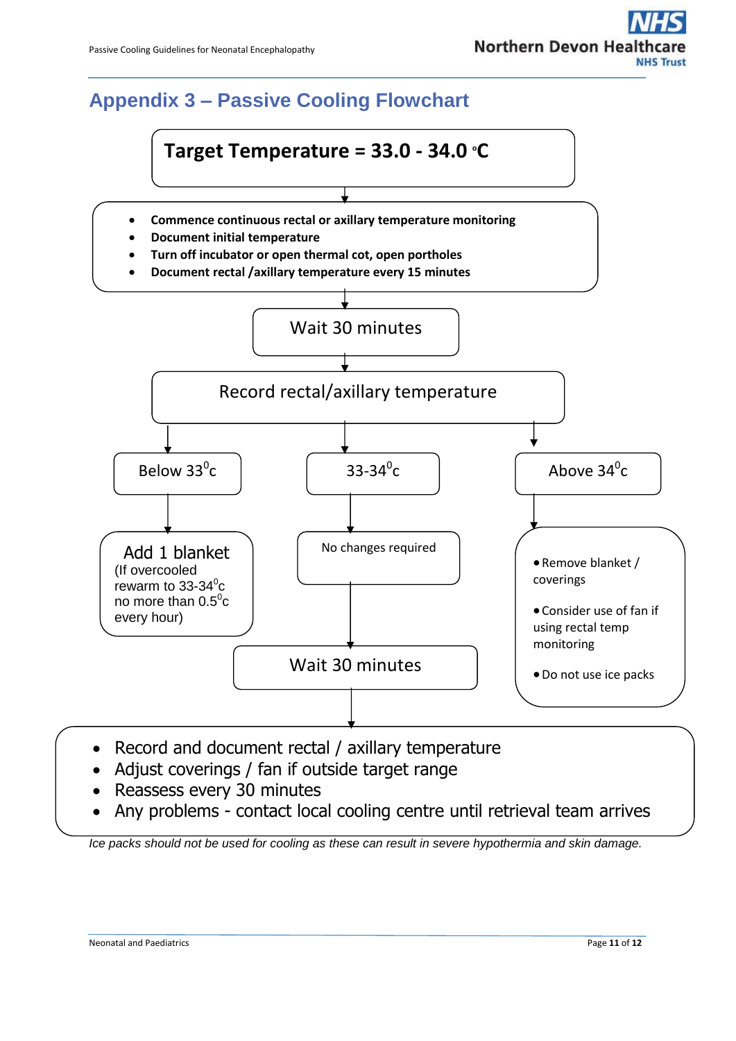# Northern Devon Hea

# <span id="page-10-0"></span>**Appendix 3 – Passive Cooling Flowchart**



- Record and document rectal / axillary temperature
- Adjust coverings / fan if outside target range
- Reassess every 30 minutes
- Any problems contact local cooling centre until retrieval team arrives

*Ice packs should not be used for cooling as these can result in severe hypothermia and skin damage.*